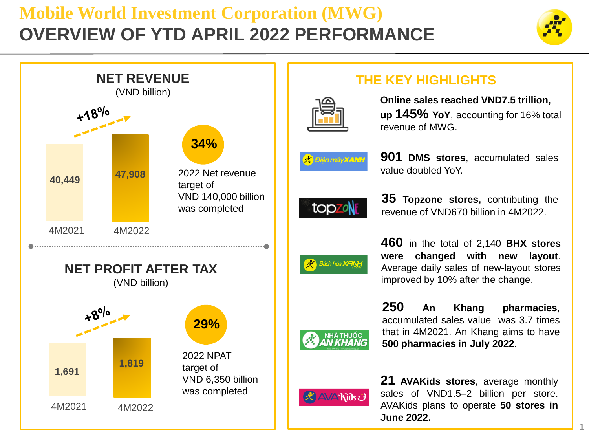## **Mobile World Investment Corporation (MWG) OVERVIEW OF YTD APRIL 2022 PERFORMANCE**





## **THE KEY HIGHLIGHTS**



**Online sales reached VND7.5 trillion, up 145% YoY**, accounting for 16% total revenue of MWG.

|  | n e c | liên máv <b>X</b> |  |  | <u>и.</u> |
|--|-------|-------------------|--|--|-----------|
|--|-------|-------------------|--|--|-----------|



**901 DMS stores**, accumulated sales value doubled YoY.

**35 Topzone stores,** contributing the revenue of VND670 billion in 4M2022.

**460** in the total of 2,140 **BHX stores were changed with new layout**. Average daily sales of new-layout stores improved by 10% after the change.

**250 An Khang pharmacies**, accumulated sales value was 3.7 times that in 4M2021. An Khang aims to have **500 pharmacies in July 2022**.



**21 AVAKids stores**, average monthly sales of VND1.5–2 billion per store. AVAKids plans to operate **50 stores in June 2022.**